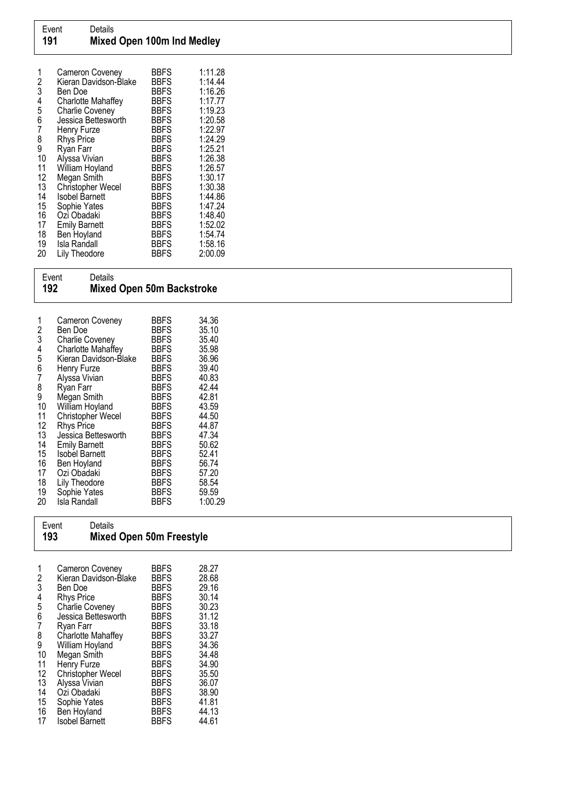| 2  | Cameron Coveney<br>Kieran Davidson-Blake | BBFS<br><b>BBFS</b> | 1:11.28<br>1:14.44 |
|----|------------------------------------------|---------------------|--------------------|
| 3  | Ben Doe                                  | <b>BBFS</b>         | 1:16.26            |
| 4  | Charlotte Mahaffey                       | <b>BBFS</b>         | 1:17.77            |
| 5  | <b>Charlie Coveney</b>                   | <b>BBFS</b>         | 1:19.23            |
| 6  | Jessica Bettesworth                      | <b>BBFS</b>         | 1:20.58            |
| 7  | Henry Furze                              | <b>BBFS</b>         | 1:22.97            |
| 8  | <b>Rhys Price</b>                        | <b>BBFS</b>         | 1:24.29            |
| 9  | Ryan Farr                                | <b>BBFS</b>         | 1:25.21            |
| 10 | Alyssa Vivian                            | <b>BBFS</b>         | 1:26.38            |
| 11 | William Hoyland                          | <b>BBFS</b>         | 1:26.57            |
| 12 | Megan Smith                              | <b>BBFS</b>         | 1:30.17            |
| 13 | <b>Christopher Wecel</b>                 | <b>BBFS</b>         | 1:30.38            |
| 14 | <b>Isobel Barnett</b>                    | <b>BBFS</b>         | 1:44.86            |
| 15 | Sophie Yates                             | <b>BBFS</b>         | 1:47.24            |
| 16 | Ozi Obadaki                              | <b>BBFS</b>         | 1:48.40            |
| 17 | <b>Emily Barnett</b>                     | <b>BBFS</b>         | 1:52.02            |
| 18 | Ben Hoyland                              | <b>BBFS</b>         | 1:54.74            |
| 19 | Isla Randall                             | <b>BBFS</b>         | 1:58.16            |
| 20 | <b>Lily Theodore</b>                     | <b>BBFS</b>         | 2:00.09            |

| Event<br>192 |                                                                                     | Details                                                                                                                                                                                                                                                                                                                                                                             | <b>Mixed Open 50m Backstroke</b>                                                                                                                                                                                                                                                                         |                                                                                                                                                                                    |  |  |
|--------------|-------------------------------------------------------------------------------------|-------------------------------------------------------------------------------------------------------------------------------------------------------------------------------------------------------------------------------------------------------------------------------------------------------------------------------------------------------------------------------------|----------------------------------------------------------------------------------------------------------------------------------------------------------------------------------------------------------------------------------------------------------------------------------------------------------|------------------------------------------------------------------------------------------------------------------------------------------------------------------------------------|--|--|
|              | 1234567<br>8<br>9<br>10<br>11<br>12<br>13<br>14<br>15<br>16<br>17<br>18<br>19<br>20 | Cameron Coveney<br>Ben Doe<br><b>Charlie Coveney</b><br>Charlotte Mahaffey<br>Kieran Davidson-Blake<br>Henry Furze<br>Alyssa Vivian<br>Ryan Farr<br>Megan Smith<br>William Hoyland<br>Christopher Wecel<br><b>Rhys Price</b><br>Jessica Bettesworth<br><b>Emily Barnett</b><br><b>Isobel Barnett</b><br>Ben Hoyland<br>Ozi Obadaki<br>Lily Theodore<br>Sophie Yates<br>Isla Randall | <b>BBFS</b><br><b>BBFS</b><br><b>BBFS</b><br><b>BBFS</b><br><b>BBFS</b><br><b>BBFS</b><br><b>BBFS</b><br><b>BBFS</b><br><b>BBFS</b><br><b>BBFS</b><br><b>BBFS</b><br><b>BBFS</b><br><b>BBFS</b><br><b>BBFS</b><br><b>BBFS</b><br><b>BBFS</b><br><b>BBFS</b><br><b>BBFS</b><br><b>BBFS</b><br><b>BBFS</b> | 34.36<br>35.10<br>35.40<br>35.98<br>36.96<br>39.40<br>40.83<br>42.44<br>42.81<br>43.59<br>44.50<br>44.87<br>47.34<br>50.62<br>52.41<br>56.74<br>57.20<br>58.54<br>59.59<br>1:00.29 |  |  |
|              | 193                                                                                 | Event<br>Details                                                                                                                                                                                                                                                                                                                                                                    | Mixed Open 50m Freestyle                                                                                                                                                                                                                                                                                 |                                                                                                                                                                                    |  |  |

| 2<br>3<br>4<br>5<br>6<br>7<br>8<br>9<br>10<br>11<br>12<br>13<br>14 | Cameron Coveney<br>Kieran Davidson-Blake<br>Ben Doe<br><b>Rhys Price</b><br>Charlie Coveney<br>Jessica Bettesworth<br>Ryan Farr<br>Charlotte Mahaffey<br>William Hoyland<br>Megan Smith<br>Henry Furze<br>Christopher Wecel<br>Alyssa Vivian | <b>BBFS</b><br><b>BBFS</b><br><b>BBFS</b><br><b>BBFS</b><br><b>BBFS</b><br><b>BBFS</b><br><b>BBFS</b><br><b>BBFS</b><br><b>BBFS</b><br><b>BBFS</b><br><b>BBFS</b><br><b>BBFS</b><br><b>BBFS</b><br><b>BBFS</b> | 28.27<br>28.68<br>29.16<br>30.14<br>30.23<br>31.12<br>33.18<br>33.27<br>34.36<br>34.48<br>34.90<br>35.50<br>36.07<br>38.90 |
|--------------------------------------------------------------------|----------------------------------------------------------------------------------------------------------------------------------------------------------------------------------------------------------------------------------------------|----------------------------------------------------------------------------------------------------------------------------------------------------------------------------------------------------------------|----------------------------------------------------------------------------------------------------------------------------|
|                                                                    | Oźi Obadaki                                                                                                                                                                                                                                  |                                                                                                                                                                                                                |                                                                                                                            |
| 15<br>16<br>17                                                     | Sophie Yates<br>Ben Hoyland<br>Isobel Barnett                                                                                                                                                                                                | <b>BBFS</b><br><b>BBFS</b><br><b>BBFS</b>                                                                                                                                                                      | 41.81<br>44.13<br>44.61                                                                                                    |
|                                                                    |                                                                                                                                                                                                                                              |                                                                                                                                                                                                                |                                                                                                                            |

**Mixed Open 50m Freestyle**